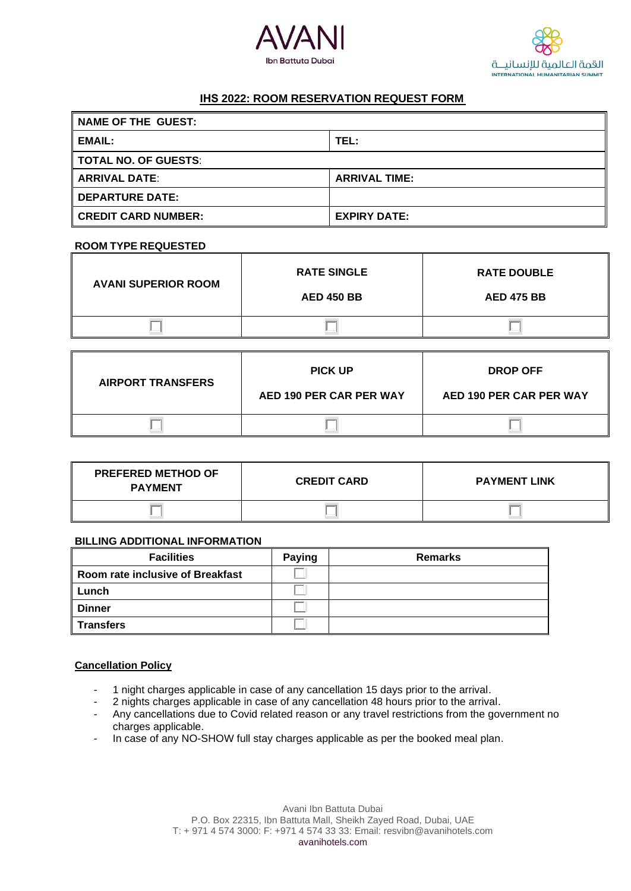



# **IHS 2022: ROOM RESERVATION REQUEST FORM**

| NAME OF THE GUEST:     |                      |  |
|------------------------|----------------------|--|
| <b>EMAIL:</b>          | TEL:                 |  |
| TOTAL NO. OF GUESTS:   |                      |  |
| <b>ARRIVAL DATE:</b>   | <b>ARRIVAL TIME:</b> |  |
| <b>DEPARTURE DATE:</b> |                      |  |
| ∥ CREDIT CARD NUMBER:  | <b>EXPIRY DATE:</b>  |  |

### **ROOM TYPE REQUESTED**

| <b>AVANI SUPERIOR ROOM</b> | <b>RATE SINGLE</b><br><b>AED 450 BB</b> | <b>RATE DOUBLE</b><br><b>AED 475 BB</b> |
|----------------------------|-----------------------------------------|-----------------------------------------|
|                            |                                         |                                         |
|                            |                                         |                                         |

| <b>AIRPORT TRANSFERS</b> | <b>PICK UP</b>          | <b>DROP OFF</b>         |
|--------------------------|-------------------------|-------------------------|
|                          | AED 190 PER CAR PER WAY | AED 190 PER CAR PER WAY |
|                          |                         |                         |

| <b>PREFERED METHOD OF</b><br><b>PAYMENT</b> | <b>CREDIT CARD</b> | <b>PAYMENT LINK</b> |
|---------------------------------------------|--------------------|---------------------|
|                                             |                    |                     |

#### **BILLING ADDITIONAL INFORMATION**

| <b>Facilities</b>                | <b>Paying</b> | <b>Remarks</b> |
|----------------------------------|---------------|----------------|
| Room rate inclusive of Breakfast |               |                |
| Lunch                            |               |                |
| <b>Dinner</b>                    |               |                |
| <b>Transfers</b>                 |               |                |

### **Cancellation Policy**

- 
- 1 night charges applicable in case of any cancellation 15 days prior to the arrival.<br>- 2 nights charges applicable in case of any cancellation 48 hours prior to the arriva 2 nights charges applicable in case of any cancellation 48 hours prior to the arrival.
- Any cancellations due to Covid related reason or any travel restrictions from the government no charges applicable.
- In case of any NO-SHOW full stay charges applicable as per the booked meal plan.